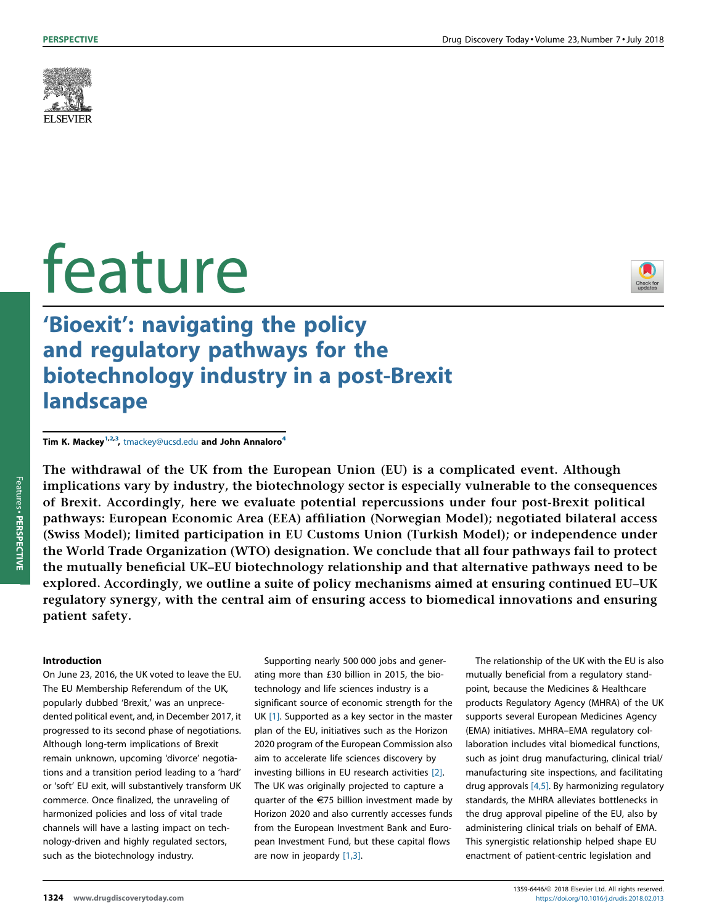

# feature



## 'Bioexit': navigating the policy and regulatory pathways for the biotechnology industry in a post-Brexit landscape

Tim K. Mackey<sup>1,2,3</sup>, [tmackey@ucsd.edu](mailto:tmackey@ucsd.edu) and John Annaloro<sup>4</sup>

The withdrawal of the UK from the European Union (EU) is a complicated event. Although implications vary by industry, the biotechnology sector is especially vulnerable to the consequences of Brexit. Accordingly, here we evaluate potential repercussions under four post-Brexit political pathways: European Economic Area (EEA) affiliation (Norwegian Model); negotiated bilateral access (Swiss Model); limited participation in EU Customs Union (Turkish Model); or independence under the World Trade Organization (WTO) designation. We conclude that all four pathways fail to protect the mutually beneficial UK–EU biotechnology relationship and that alternative pathways need to be explored. Accordingly, we outline a suite of policy mechanisms aimed at ensuring continued EU–UK regulatory synergy, with the central aim of ensuring access to biomedical innovations and ensuring patient safety.

#### Introduction

On June 23, 2016, the UK voted to leave the EU. The EU Membership Referendum of the UK, popularly dubbed 'Brexit,' was an unprecedented political event, and, in December 2017, it progressed to its second phase of negotiations. Although long-term implications of Brexit remain unknown, upcoming 'divorce' negotiations and a transition period leading to a 'hard' or 'soft' EU exit, will substantively transform UK commerce. Once finalized, the unraveling of harmonized policies and loss of vital trade channels will have a lasting impact on technology-driven and highly regulated sectors, such as the biotechnology industry.

Supporting nearly 500 000 jobs and generating more than £30 billion in 2015, the biotechnology and life sciences industry is a significant source of economic strength for the UK [\[1\]](#page-3-0). Supported as a key sector in the master plan of the EU, initiatives such as the Horizon 2020 program of the European Commission also aim to accelerate life sciences discovery by investing billions in EU research activities [\[2\].](#page-3-0) The UK was originally projected to capture a quarter of the  $E$ 75 billion investment made by Horizon 2020 and also currently accesses funds from the European Investment Bank and European Investment Fund, but these capital flows are now in jeopardy [\[1,3\].](#page-3-0)

The relationship of the UK with the EU is also mutually beneficial from a regulatory standpoint, because the Medicines & Healthcare products Regulatory Agency (MHRA) of the UK supports several European Medicines Agency (EMA) initiatives. MHRA–EMA regulatory collaboration includes vital biomedical functions, such as joint drug manufacturing, clinical trial/ manufacturing site inspections, and facilitating drug approvals [\[4,5\].](#page-3-0) By harmonizing regulatory standards, the MHRA alleviates bottlenecks in the drug approval pipeline of the EU, also by administering clinical trials on behalf of EMA. This synergistic relationship helped shape EU enactment of patient-centric legislation and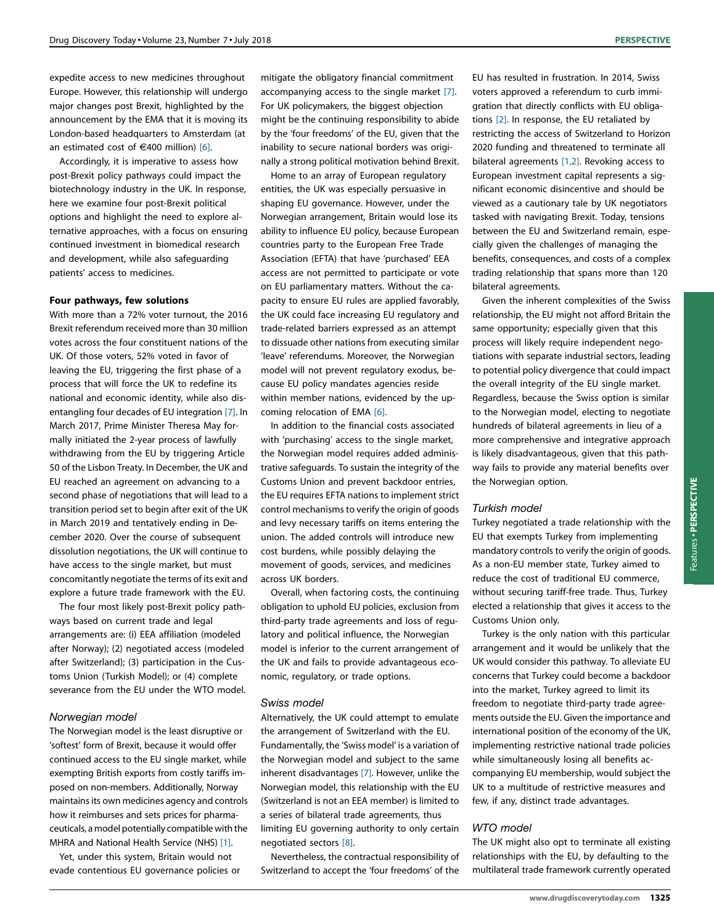expedite access to new medicines throughout Europe. However, this relationship will undergo major changes post Brexit, highlighted by the announcement by the EMA that it is moving its London-based headquarters to Amsterdam (at an estimated cost of  $\in$ 400 million) [\[6\]](#page-3-0).

Accordingly, it is imperative to assess how post-Brexit policy pathways could impact the biotechnology industry in the UK. In response, here we examine four post-Brexit political options and highlight the need to explore alternative approaches, with a focus on ensuring continued investment in biomedical research and development, while also safeguarding patients' access to medicines.

#### Four pathways, few solutions

With more than a 72% voter turnout, the 2016 Brexit referendum received more than 30 million votes across the four constituent nations of the UK. Of those voters, 52% voted in favor of leaving the EU, triggering the first phase of a process that will force the UK to redefine its national and economic identity, while also disentangling four decades of EU integration [\[7\]](#page-3-0). In March 2017, Prime Minister Theresa May formally initiated the 2-year process of lawfully withdrawing from the EU by triggering Article 50 of the Lisbon Treaty. In December, the UK and EU reached an agreement on advancing to a second phase of negotiations that will lead to a transition period set to begin after exit of the UK in March 2019 and tentatively ending in December 2020. Over the course of subsequent dissolution negotiations, the UK will continue to have access to the single market, but must concomitantly negotiate the terms of its exit and explore a future trade framework with the EU.

The four most likely post-Brexit policy pathways based on current trade and legal arrangements are: (i) EEA affiliation (modeled after Norway); (2) negotiated access (modeled after Switzerland); (3) participation in the Customs Union (Turkish Model); or (4) complete severance from the EU under the WTO model.

#### Norwegian model

The Norwegian model is the least disruptive or 'softest' form of Brexit, because it would offer continued access to the EU single market, while exempting British exports from costly tariffs imposed on non-members. Additionally, Norway maintains its own medicines agency and controls how it reimburses and sets prices for pharmaceuticals, a model potentially compatible with the MHRA and National Health Service (NHS) [\[1\]](#page-3-0).

Yet, under this system, Britain would not evade contentious EU governance policies or mitigate the obligatory financial commitment accompanying access to the single market [\[7\]](#page-3-0). For UK policymakers, the biggest objection might be the continuing responsibility to abide by the 'four freedoms' of the EU, given that the inability to secure national borders was originally a strong political motivation behind Brexit.

Home to an array of European regulatory entities, the UK was especially persuasive in shaping EU governance. However, under the Norwegian arrangement, Britain would lose its ability to influence EU policy, because European countries party to the European Free Trade Association (EFTA) that have 'purchased' EEA access are not permitted to participate or vote on EU parliamentary matters. Without the capacity to ensure EU rules are applied favorably, the UK could face increasing EU regulatory and trade-related barriers expressed as an attempt to dissuade other nations from executing similar 'leave' referendums. Moreover, the Norwegian model will not prevent regulatory exodus, because EU policy mandates agencies reside within member nations, evidenced by the upcoming relocation of EMA [\[6\]](#page-3-0).

In addition to the financial costs associated with 'purchasing' access to the single market, the Norwegian model requires added administrative safeguards. To sustain the integrity of the Customs Union and prevent backdoor entries, the EU requires EFTA nations to implement strict control mechanisms to verify the origin of goods and levy necessary tariffs on items entering the union. The added controls will introduce new cost burdens, while possibly delaying the movement of goods, services, and medicines across UK borders.

Overall, when factoring costs, the continuing obligation to uphold EU policies, exclusion from third-party trade agreements and loss of regulatory and political influence, the Norwegian model is inferior to the current arrangement of the UK and fails to provide advantageous economic, regulatory, or trade options.

#### Swiss model

Alternatively, the UK could attempt to emulate the arrangement of Switzerland with the EU. Fundamentally, the 'Swiss model' is a variation of the Norwegian model and subject to the same inherent disadvantages [\[7\].](#page-3-0) However, unlike the Norwegian model, this relationship with the EU (Switzerland is not an EEA member) is limited to a series of bilateral trade agreements, thus limiting EU governing authority to only certain negotiated sectors [\[8\].](#page-3-0)

Nevertheless, the contractual responsibility of Switzerland to accept the 'four freedoms' of the

EU has resulted in frustration. In 2014, Swiss voters approved a referendum to curb immigration that directly conflicts with EU obligations [\[2\].](#page-3-0) In response, the EU retaliated by restricting the access of Switzerland to Horizon 2020 funding and threatened to terminate all bilateral agreements [\[1,2\]](#page-3-0). Revoking access to European investment capital represents a significant economic disincentive and should be viewed as a cautionary tale by UK negotiators tasked with navigating Brexit. Today, tensions between the EU and Switzerland remain, especially given the challenges of managing the benefits, consequences, and costs of a complex trading relationship that spans more than 120 bilateral agreements.

Given the inherent complexities of the Swiss relationship, the EU might not afford Britain the same opportunity; especially given that this process will likely require independent negotiations with separate industrial sectors, leading to potential policy divergence that could impact the overall integrity of the EU single market. Regardless, because the Swiss option is similar to the Norwegian model, electing to negotiate hundreds of bilateral agreements in lieu of a more comprehensive and integrative approach is likely disadvantageous, given that this pathway fails to provide any material benefits over the Norwegian option.

#### Turkish model

Turkey negotiated a trade relationship with the EU that exempts Turkey from implementing mandatory controls to verify the origin of goods. As a non-EU member state, Turkey aimed to reduce the cost of traditional EU commerce, without securing tariff-free trade. Thus, Turkey elected a relationship that gives it access to the Customs Union only.

Turkey is the only nation with this particular arrangement and it would be unlikely that the UK would consider this pathway. To alleviate EU concerns that Turkey could become a backdoor into the market, Turkey agreed to limit its freedom to negotiate third-party trade agreements outside the EU. Given the importance and international position of the economy of the UK, implementing restrictive national trade policies while simultaneously losing all benefits accompanying EU membership, would subject the UK to a multitude of restrictive measures and few, if any, distinct trade advantages.

#### WTO model

The UK might also opt to terminate all existing relationships with the EU, by defaulting to the multilateral trade framework currently operated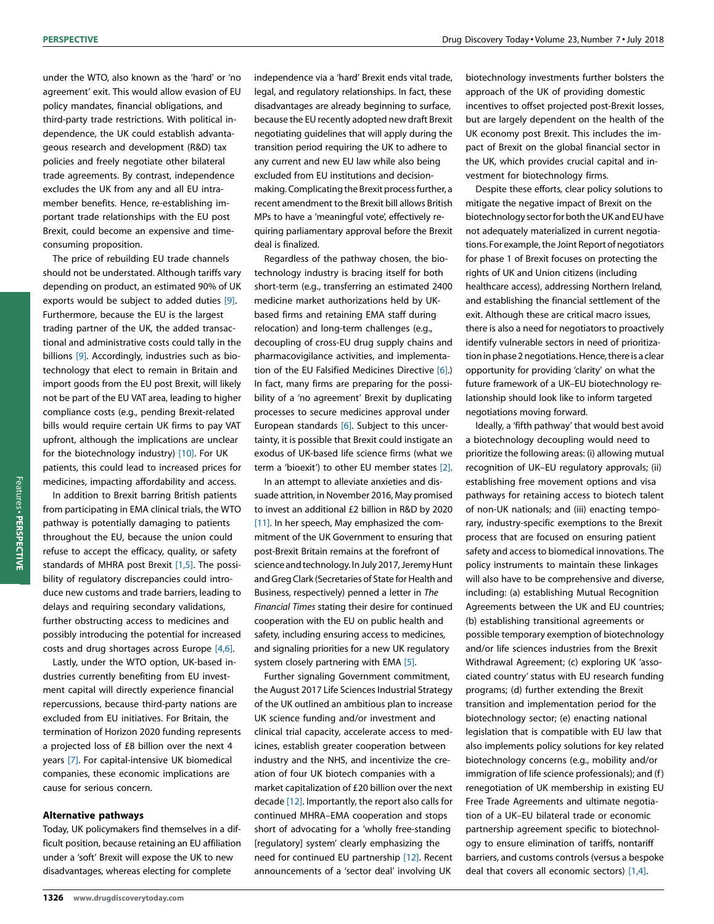under the WTO, also known as the 'hard' or 'no agreement' exit. This would allow evasion of EU policy mandates, financial obligations, and third-party trade restrictions. With political independence, the UK could establish advantageous research and development (R&D) tax policies and freely negotiate other bilateral trade agreements. By contrast, independence excludes the UK from any and all EU intramember benefits. Hence, re-establishing important trade relationships with the EU post Brexit, could become an expensive and timeconsuming proposition.

The price of rebuilding EU trade channels should not be understated. Although tariffs vary depending on product, an estimated 90% of UK exports would be subject to added duties [\[9\].](#page-3-0) Furthermore, because the EU is the largest trading partner of the UK, the added transactional and administrative costs could tally in the billions [\[9\]](#page-3-0). Accordingly, industries such as biotechnology that elect to remain in Britain and import goods from the EU post Brexit, will likely not be part of the EU VAT area, leading to higher compliance costs (e.g., pending Brexit-related bills would require certain UK firms to pay VAT upfront, although the implications are unclear for the biotechnology industry) [\[10\].](#page-3-0) For UK patients, this could lead to increased prices for medicines, impacting affordability and access.

In addition to Brexit barring British patients from participating in EMA clinical trials, the WTO pathway is potentially damaging to patients throughout the EU, because the union could refuse to accept the efficacy, quality, or safety standards of MHRA post Brexit [\[1,5\].](#page-3-0) The possibility of regulatory discrepancies could introduce new customs and trade barriers, leading to delays and requiring secondary validations, further obstructing access to medicines and possibly introducing the potential for increased costs and drug shortages across Europe [\[4,6\].](#page-3-0)

Lastly, under the WTO option, UK-based industries currently benefiting from EU investment capital will directly experience financial repercussions, because third-party nations are excluded from EU initiatives. For Britain, the termination of Horizon 2020 funding represents a projected loss of £8 billion over the next 4 years [\[7\]](#page-3-0). For capital-intensive UK biomedical companies, these economic implications are cause for serious concern.

#### Alternative pathways

Today, UK policymakers find themselves in a difficult position, because retaining an EU affiliation under a 'soft' Brexit will expose the UK to new disadvantages, whereas electing for complete

independence via a 'hard' Brexit ends vital trade, legal, and regulatory relationships. In fact, these disadvantages are already beginning to surface, because the EU recently adopted new draft Brexit negotiating guidelines that will apply during the transition period requiring the UK to adhere to any current and new EU law while also being excluded from EU institutions and decisionmaking. Complicating the Brexit process further, a recent amendment to the Brexit bill allows British MPs to have a 'meaningful vote', effectively requiring parliamentary approval before the Brexit deal is finalized.

Regardless of the pathway chosen, the biotechnology industry is bracing itself for both short-term (e.g., transferring an estimated 2400 medicine market authorizations held by UKbased firms and retaining EMA staff during relocation) and long-term challenges (e.g., decoupling of cross-EU drug supply chains and pharmacovigilance activities, and implementation of the EU Falsified Medicines Directive [\[6\]](#page-3-0).) In fact, many firms are preparing for the possibility of a 'no agreement' Brexit by duplicating processes to secure medicines approval under European standards [\[6\].](#page-3-0) Subject to this uncertainty, it is possible that Brexit could instigate an exodus of UK-based life science firms (what we term a 'bioexit') to other EU member states [\[2\].](#page-3-0)

In an attempt to alleviate anxieties and dissuade attrition, in November 2016, May promised to invest an additional £2 billion in R&D by 2020 [\[11\].](#page-3-0) In her speech, May emphasized the commitment of the UK Government to ensuring that post-Brexit Britain remains at the forefront of science and technology. In July 2017, Jeremy Hunt and Greg Clark (Secretaries of State for Health and Business, respectively) penned a letter in The Financial Times stating their desire for continued cooperation with the EU on public health and safety, including ensuring access to medicines, and signaling priorities for a new UK regulatory system closely partnering with EMA [\[5\].](#page-3-0)

Further signaling Government commitment, the August 2017 Life Sciences Industrial Strategy of the UK outlined an ambitious plan to increase UK science funding and/or investment and clinical trial capacity, accelerate access to medicines, establish greater cooperation between industry and the NHS, and incentivize the creation of four UK biotech companies with a market capitalization of £20 billion over the next decade [\[12\]](#page-3-0). Importantly, the report also calls for continued MHRA–EMA cooperation and stops short of advocating for a 'wholly free-standing [regulatory] system' clearly emphasizing the need for continued EU partnership [\[12\].](#page-3-0) Recent announcements of a 'sector deal' involving UK

biotechnology investments further bolsters the approach of the UK of providing domestic incentives to offset projected post-Brexit losses, but are largely dependent on the health of the UK economy post Brexit. This includes the impact of Brexit on the global financial sector in the UK, which provides crucial capital and investment for biotechnology firms.

Despite these efforts, clear policy solutions to mitigate the negative impact of Brexit on the biotechnology sector for both the UK and EU have not adequately materialized in current negotiations. For example, the Joint Report of negotiators for phase 1 of Brexit focuses on protecting the rights of UK and Union citizens (including healthcare access), addressing Northern Ireland, and establishing the financial settlement of the exit. Although these are critical macro issues, there is also a need for negotiators to proactively identify vulnerable sectors in need of prioritization in phase 2 negotiations. Hence, there is a clear opportunity for providing 'clarity' on what the future framework of a UK–EU biotechnology relationship should look like to inform targeted negotiations moving forward.

Ideally, a 'fifth pathway' that would best avoid a biotechnology decoupling would need to prioritize the following areas: (i) allowing mutual recognition of UK–EU regulatory approvals; (ii) establishing free movement options and visa pathways for retaining access to biotech talent of non-UK nationals; and (iii) enacting temporary, industry-specific exemptions to the Brexit process that are focused on ensuring patient safety and access to biomedical innovations. The policy instruments to maintain these linkages will also have to be comprehensive and diverse, including: (a) establishing Mutual Recognition Agreements between the UK and EU countries; (b) establishing transitional agreements or possible temporary exemption of biotechnology and/or life sciences industries from the Brexit Withdrawal Agreement; (c) exploring UK 'associated country' status with EU research funding programs; (d) further extending the Brexit transition and implementation period for the biotechnology sector; (e) enacting national legislation that is compatible with EU law that also implements policy solutions for key related biotechnology concerns (e.g., mobility and/or immigration of life science professionals); and (f) renegotiation of UK membership in existing EU Free Trade Agreements and ultimate negotiation of a UK–EU bilateral trade or economic partnership agreement specific to biotechnology to ensure elimination of tariffs, nontariff barriers, and customs controls (versus a bespoke deal that covers all economic sectors) [\[1,4\].](#page-3-0)